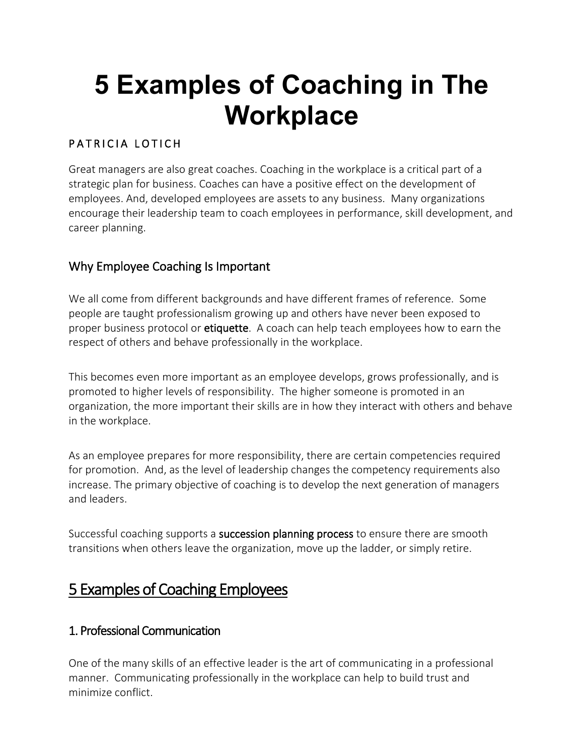# **5 Examples of Coaching in The Workplace**

## PATRICIA LOTICH

Great managers are also great coaches. Coaching in the workplace is a critical part of a strategic plan for business. Coaches can have a positive effect on the development of employees. And, developed employees are assets to any business. Many organizations encourage their leadership team to coach employees in performance, skill development, and career planning.

## Why Employee Coaching Is Important

We all come from different backgrounds and have different frames of reference. Some people are taught professionalism growing up and others have never been exposed to proper business protocol or [etiquette.](https://thethrivingsmallbusiness.com/office-etiquette/) A coach can help teach employees how to earn the respect of others and behave professionally in the workplace.

This becomes even more important as an employee develops, grows professionally, and is promoted to higher levels of responsibility. The higher someone is promoted in an organization, the more important their skills are in how they interact with others and behave in the workplace.

As an employee prepares for more responsibility, there are certain competencies required for promotion. And, as the level of leadership changes the competency requirements also increase. The primary objective of coaching is to develop the next generation of managers and leaders.

Successful coaching supports a [succession planning process](https://thethrivingsmallbusiness.com/what-is-succession-planning/) to ensure there are smooth transitions when others leave the organization, move up the ladder, or simply retire.

## 5 Examples of Coaching Employees

#### 1. Professional Communication

One of the many skills of an effective leader is the art of communicating in a professional manner. Communicating professionally in the workplace can help to build trust and minimize conflict.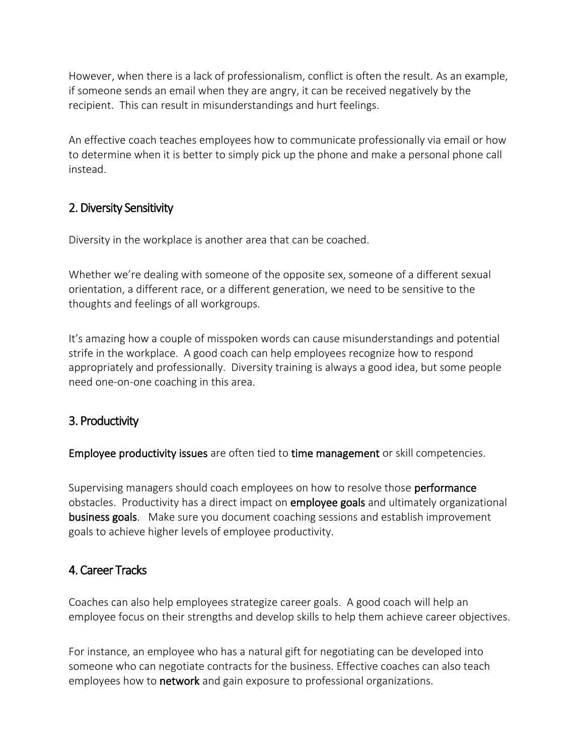However, when there is a lack of professionalism, conflict is often the result. As an example, if someone sends an email when they are angry, it can be received negatively by the recipient. This can result in misunderstandings and hurt feelings.

An effective coach teaches employees how to communicate professionally via email or how to determine when it is better to simply pick up the phone and make a personal phone call instead.

#### 2. Diversity Sensitivity

Diversity in the workplace is another area that can be coached.

Whether we're dealing with someone of the opposite sex, someone of a different sexual orientation, a different race, or a different generation, we need to be sensitive to the thoughts and feelings of all workgroups.

It's amazing how a couple of misspoken words can cause misunderstandings and potential strife in the workplace. A good coach can help employees recognize how to respond appropriately and professionally. Diversity training is always a good idea, but some people need one-on-one coaching in this area.

#### 3. Productivity

[Employee productivity issues](https://thethrivingsmallbusiness.com/worker-productivity-8-tips-to-increase-worker-productivity/) are often tied to [time management](https://thethrivingsmallbusiness.com/employee-poor-time-management-skills/) or skill competencies.

Supervising managers should coach employees on how to resolve those [performance](https://thethrivingsmallbusiness.com/writing-and-giving-performance-appraisals/) obstacles. Productivity has a direct impact on **employee goals** and ultimately organizational [business goals.](https://thethrivingsmallbusiness.com/examples-of-business-goals/) Make sure you document coaching sessions and establish improvement goals to achieve higher levels of employee productivity.

#### 4. Career Tracks

Coaches can also help employees strategize career goals. A good coach will help an employee focus on their strengths and develop skills to help them achieve career objectives.

For instance, an employee who has a natural gift for negotiating can be developed into someone who can negotiate contracts for the business. Effective coaches can also teach employees how to **network** and gain exposure to professional organizations.